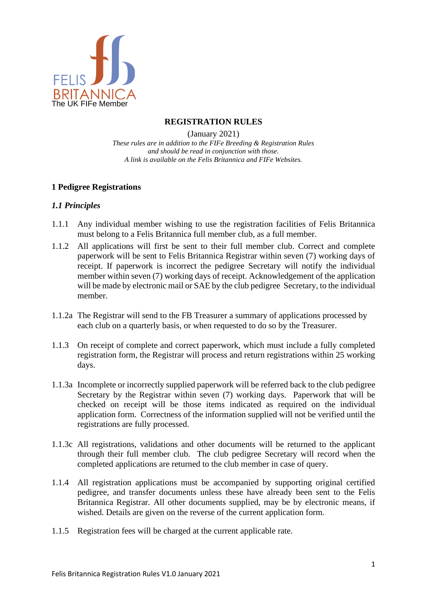

# **REGISTRATION RULES**

(January 2021) *These rules are in addition to the FIFe Breeding & Registration Rules and should be read in conjunction with those. A link is available on the Felis Britannica and FIFe Websites.*

# **1 Pedigree Registrations**

# *1.1 Principles*

- 1.1.1 Any individual member wishing to use the registration facilities of Felis Britannica must belong to a Felis Britannica full member club, as a full member.
- 1.1.2 All applications will first be sent to their full member club. Correct and complete paperwork will be sent to Felis Britannica Registrar within seven (7) working days of receipt. If paperwork is incorrect the pedigree Secretary will notify the individual member within seven (7) working days of receipt. Acknowledgement of the application will be made by electronic mail or SAE by the club pedigree Secretary, to the individual member.
- 1.1.2a The Registrar will send to the FB Treasurer a summary of applications processed by each club on a quarterly basis, or when requested to do so by the Treasurer.
- 1.1.3 On receipt of complete and correct paperwork, which must include a fully completed registration form, the Registrar will process and return registrations within 25 working days.
- 1.1.3a Incomplete or incorrectly supplied paperwork will be referred back to the club pedigree Secretary by the Registrar within seven (7) working days. Paperwork that will be checked on receipt will be those items indicated as required on the individual application form. Correctness of the information supplied will not be verified until the registrations are fully processed.
- 1.1.3c All registrations, validations and other documents will be returned to the applicant through their full member club. The club pedigree Secretary will record when the completed applications are returned to the club member in case of query.
- 1.1.4 All registration applications must be accompanied by supporting original certified pedigree, and transfer documents unless these have already been sent to the Felis Britannica Registrar. All other documents supplied, may be by electronic means, if wished. Details are given on the reverse of the current application form.
- 1.1.5 Registration fees will be charged at the current applicable rate.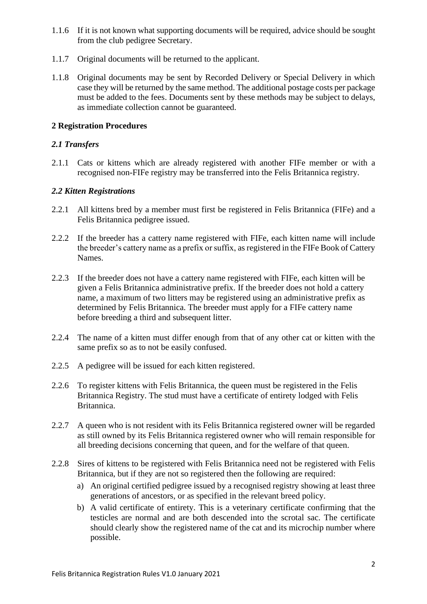- 1.1.6 If it is not known what supporting documents will be required, advice should be sought from the club pedigree Secretary.
- 1.1.7 Original documents will be returned to the applicant.
- 1.1.8 Original documents may be sent by Recorded Delivery or Special Delivery in which case they will be returned by the same method. The additional postage costs per package must be added to the fees. Documents sent by these methods may be subject to delays, as immediate collection cannot be guaranteed.

# **2 Registration Procedures**

# *2.1 Transfers*

2.1.1 Cats or kittens which are already registered with another FIFe member or with a recognised non-FIFe registry may be transferred into the Felis Britannica registry.

# *2.2 Kitten Registrations*

- 2.2.1 All kittens bred by a member must first be registered in Felis Britannica (FIFe) and a Felis Britannica pedigree issued.
- 2.2.2 If the breeder has a cattery name registered with FIFe, each kitten name will include the breeder's cattery name as a prefix or suffix, as registered in the FIFe Book of Cattery Names.
- 2.2.3 If the breeder does not have a cattery name registered with FIFe, each kitten will be given a Felis Britannica administrative prefix. If the breeder does not hold a cattery name, a maximum of two litters may be registered using an administrative prefix as determined by Felis Britannica. The breeder must apply for a FIFe cattery name before breeding a third and subsequent litter.
- 2.2.4 The name of a kitten must differ enough from that of any other cat or kitten with the same prefix so as to not be easily confused.
- 2.2.5 A pedigree will be issued for each kitten registered.
- 2.2.6 To register kittens with Felis Britannica, the queen must be registered in the Felis Britannica Registry. The stud must have a certificate of entirety lodged with Felis Britannica.
- 2.2.7 A queen who is not resident with its Felis Britannica registered owner will be regarded as still owned by its Felis Britannica registered owner who will remain responsible for all breeding decisions concerning that queen, and for the welfare of that queen.
- 2.2.8 Sires of kittens to be registered with Felis Britannica need not be registered with Felis Britannica, but if they are not so registered then the following are required:
	- a) An original certified pedigree issued by a recognised registry showing at least three generations of ancestors, or as specified in the relevant breed policy.
	- b) A valid certificate of entirety. This is a veterinary certificate confirming that the testicles are normal and are both descended into the scrotal sac. The certificate should clearly show the registered name of the cat and its microchip number where possible.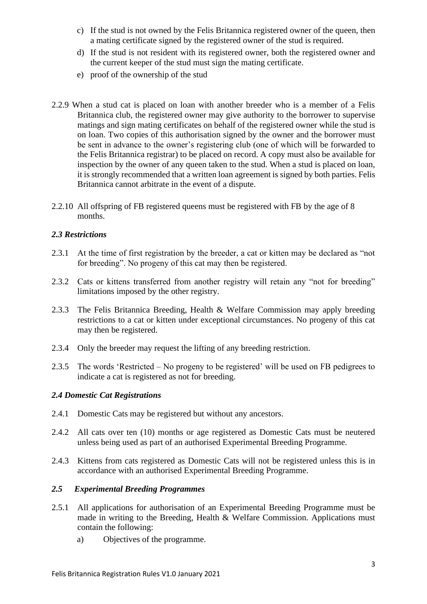- c) If the stud is not owned by the Felis Britannica registered owner of the queen, then a mating certificate signed by the registered owner of the stud is required.
- d) If the stud is not resident with its registered owner, both the registered owner and the current keeper of the stud must sign the mating certificate.
- e) proof of the ownership of the stud
- 2.2.9 When a stud cat is placed on loan with another breeder who is a member of a Felis Britannica club, the registered owner may give authority to the borrower to supervise matings and sign mating certificates on behalf of the registered owner while the stud is on loan. Two copies of this authorisation signed by the owner and the borrower must be sent in advance to the owner's registering club (one of which will be forwarded to the Felis Britannica registrar) to be placed on record. A copy must also be available for inspection by the owner of any queen taken to the stud. When a stud is placed on loan, it is strongly recommended that a written loan agreement is signed by both parties. Felis Britannica cannot arbitrate in the event of a dispute.
- 2.2.10 All offspring of FB registered queens must be registered with FB by the age of 8 months.

# *2.3 Restrictions*

- 2.3.1 At the time of first registration by the breeder, a cat or kitten may be declared as "not for breeding". No progeny of this cat may then be registered.
- 2.3.2 Cats or kittens transferred from another registry will retain any "not for breeding" limitations imposed by the other registry.
- 2.3.3 The Felis Britannica Breeding, Health & Welfare Commission may apply breeding restrictions to a cat or kitten under exceptional circumstances. No progeny of this cat may then be registered.
- 2.3.4 Only the breeder may request the lifting of any breeding restriction.
- 2.3.5 The words 'Restricted No progeny to be registered' will be used on FB pedigrees to indicate a cat is registered as not for breeding.

### *2.4 Domestic Cat Registrations*

- 2.4.1 Domestic Cats may be registered but without any ancestors.
- 2.4.2 All cats over ten (10) months or age registered as Domestic Cats must be neutered unless being used as part of an authorised Experimental Breeding Programme.
- 2.4.3 Kittens from cats registered as Domestic Cats will not be registered unless this is in accordance with an authorised Experimental Breeding Programme.

### *2.5 Experimental Breeding Programmes*

- 2.5.1 All applications for authorisation of an Experimental Breeding Programme must be made in writing to the Breeding, Health & Welfare Commission. Applications must contain the following:
	- a) Objectives of the programme.